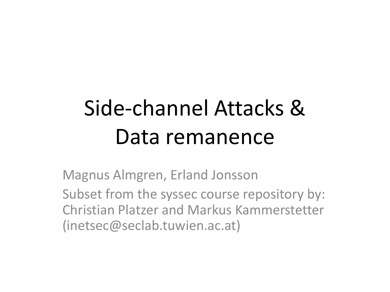# Side-channel Attacks & Data remanence

Magnus Almgren, Erland Jonsson Subset from the syssec course repository by: Christian Platzer and Markus Kammerstetter (inetsec@seclab.tuwien.ac.at)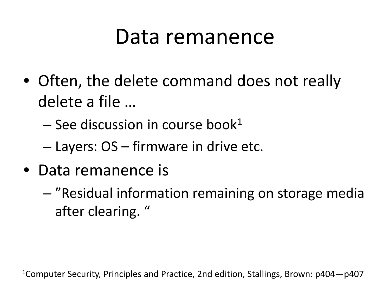### Data remanence

- Often, the delete command does not really delete a file …
	- $-$  See discussion in course book<sup>1</sup>
	- Layers: OS firmware in drive etc.
- Data remanence is
	- "Residual information remaining on storage media after clearing. "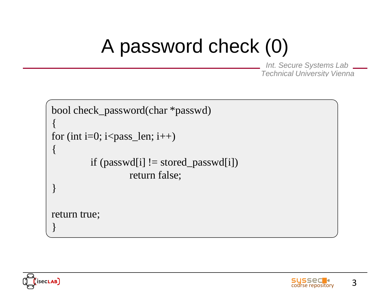#### A password check (0)

```
bool check_password(char *passwd)
{
for (int i=0; i<pass_len; i++)
\{if (passwd[i] != stored_passwd[i])return false;
}
return true;
}
```


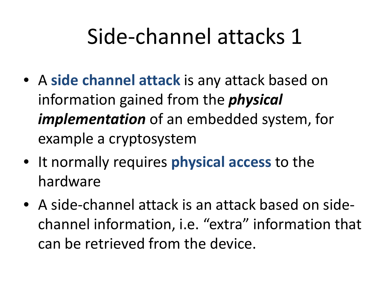## Side-channel attacks 1

- A **side channel attack** is any attack based on information gained from the *physical implementation* of an embedded system, for example a cryptosystem
- It normally requires **physical access** to the hardware
- A side-channel attack is an attack based on sidechannel information, i.e. "extra" information that can be retrieved from the device.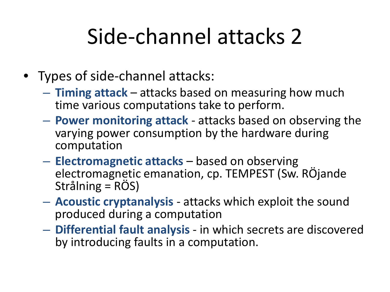## Side-channel attacks 2

- Types of side-channel attacks:
	- **Timing attack**  attacks based on measuring how much time various computations take to perform.
	- **Power monitoring attack**  attacks based on observing the varying power consumption by the hardware during computation
	- **Electromagnetic attacks**  based on observing electromagnetic emanation, cp. TEMPEST (Sw. RÖjande Strålning = RÖS)
	- **Acoustic cryptanalysis**  attacks which exploit the sound produced during a computation
	- **Differential fault analysis**  in which secrets are discovered by introducing faults in a computation.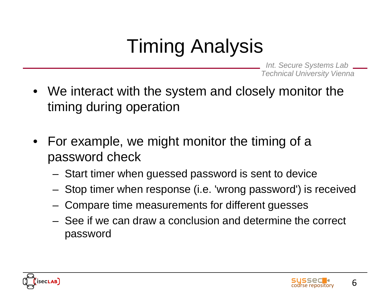### Timing Analysis

- We interact with the system and closely monitor the timing during operation
- For example, we might monitor the timing of a password check
	- Start timer when guessed password is sent to device
	- Stop timer when response (i.e. 'wrong password') is received
	- Compare time measurements for different guesses
	- See if we can draw a conclusion and determine the correct password

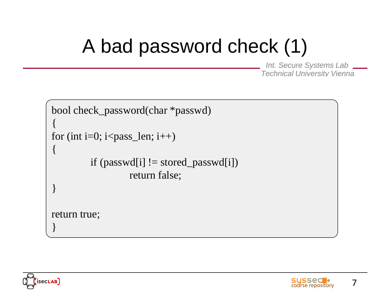## A bad password check (1)

```
bool check_password(char *passwd)
{
for (int i=0; i<pass_len; i++)
\{if (passwd[i] != stored_passwd[i])return false;
}
return true;
}
```


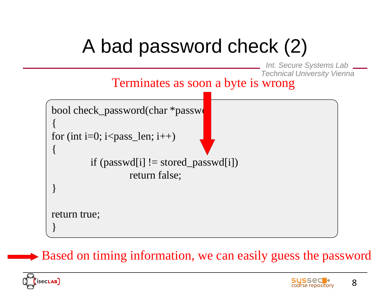## A bad password check (2)

*Int. Secure Systems Lab Technical University Vienna*

Terminates as soon a byte is wrong

bool check\_password(char \*passwd) { for (int i=0; i<pass\_len; i++) { if (passwd[i]  $!=$  stored\_passwd[i]) return false; } return true; }

**► Based on timing information, we can easily guess the password** 



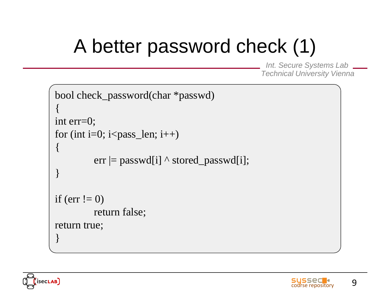## A better password check (1)

```
bool check_password(char *passwd)
{
int err=0;
for (int i=0; i<pass_len; i++)
{
         err = passwd[i] \land stored_passwd[i];
}
if (err != 0)
         return false;
return true;
}
```


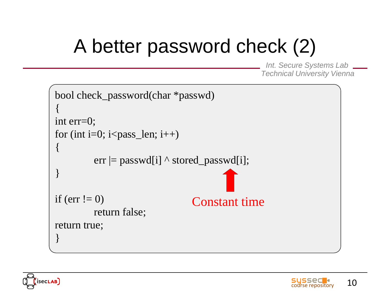## A better password check (2)

```
bool check_password(char *passwd)
{
int err=0;
for (int i=0; i<pass_len; i++)
{
         err = passwd[i] \land stored_passwd[i];
}
if (err != 0)
         return false;
return true;
}
                                 Constant time
```


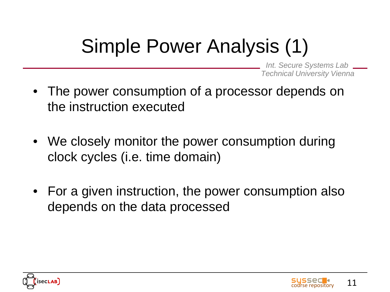## Simple Power Analysis (1)

- The power consumption of a processor depends on the instruction executed
- We closely monitor the power consumption during clock cycles (i.e. time domain)
- For a given instruction, the power consumption also depends on the data processed



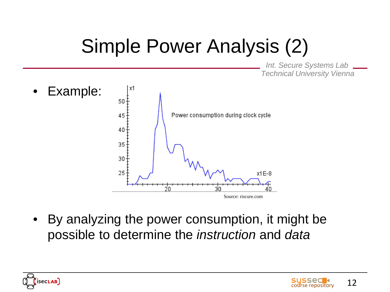## Simple Power Analysis (2)

*Int. Secure Systems Lab Technical University Vienna*



• By analyzing the power consumption, it might be possible to determine the *instruction* and *data*